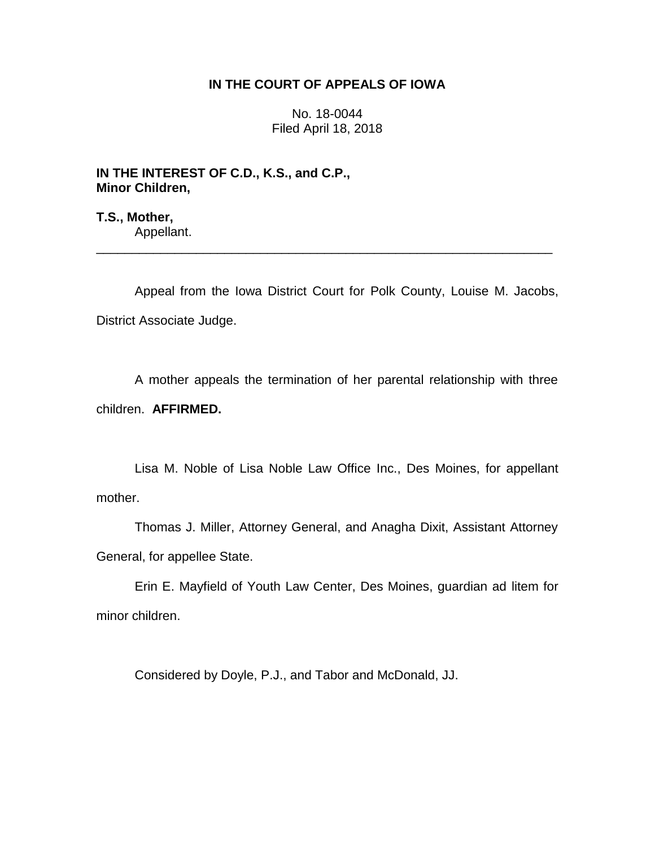# **IN THE COURT OF APPEALS OF IOWA**

No. 18-0044 Filed April 18, 2018

**IN THE INTEREST OF C.D., K.S., and C.P., Minor Children,**

**T.S., Mother,** Appellant.

Appeal from the Iowa District Court for Polk County, Louise M. Jacobs, District Associate Judge.

\_\_\_\_\_\_\_\_\_\_\_\_\_\_\_\_\_\_\_\_\_\_\_\_\_\_\_\_\_\_\_\_\_\_\_\_\_\_\_\_\_\_\_\_\_\_\_\_\_\_\_\_\_\_\_\_\_\_\_\_\_\_\_\_

A mother appeals the termination of her parental relationship with three children. **AFFIRMED.**

Lisa M. Noble of Lisa Noble Law Office Inc., Des Moines, for appellant mother.

Thomas J. Miller, Attorney General, and Anagha Dixit, Assistant Attorney General, for appellee State.

Erin E. Mayfield of Youth Law Center, Des Moines, guardian ad litem for minor children.

Considered by Doyle, P.J., and Tabor and McDonald, JJ.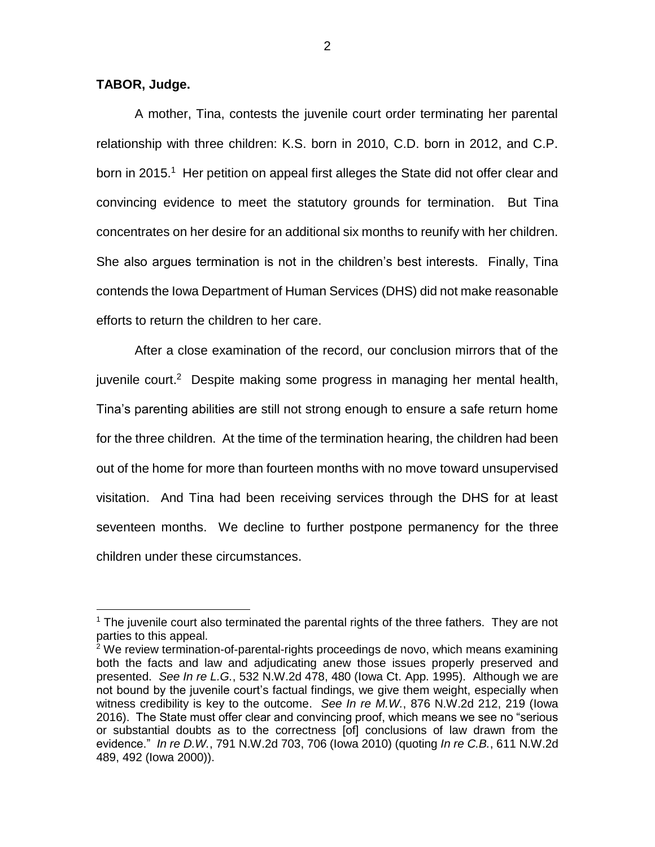# **TABOR, Judge.**

 $\overline{a}$ 

A mother, Tina, contests the juvenile court order terminating her parental relationship with three children: K.S. born in 2010, C.D. born in 2012, and C.P. born in 2015.<sup>1</sup> Her petition on appeal first alleges the State did not offer clear and convincing evidence to meet the statutory grounds for termination. But Tina concentrates on her desire for an additional six months to reunify with her children. She also argues termination is not in the children's best interests. Finally, Tina contends the Iowa Department of Human Services (DHS) did not make reasonable efforts to return the children to her care.

After a close examination of the record, our conclusion mirrors that of the juvenile court.<sup>2</sup> Despite making some progress in managing her mental health, Tina's parenting abilities are still not strong enough to ensure a safe return home for the three children. At the time of the termination hearing, the children had been out of the home for more than fourteen months with no move toward unsupervised visitation. And Tina had been receiving services through the DHS for at least seventeen months. We decline to further postpone permanency for the three children under these circumstances.

 $<sup>1</sup>$  The juvenile court also terminated the parental rights of the three fathers. They are not</sup> parties to this appeal.

<sup>&</sup>lt;sup>2</sup> We review termination-of-parental-rights proceedings de novo, which means examining both the facts and law and adjudicating anew those issues properly preserved and presented. *See In re L.G.*, 532 N.W.2d 478, 480 (Iowa Ct. App. 1995). Although we are not bound by the juvenile court's factual findings, we give them weight, especially when witness credibility is key to the outcome. *See In re M.W.*, 876 N.W.2d 212, 219 (Iowa 2016). The State must offer clear and convincing proof, which means we see no "serious or substantial doubts as to the correctness [of] conclusions of law drawn from the evidence." *In re D.W.*, 791 N.W.2d 703, 706 (Iowa 2010) (quoting *In re C.B.*, 611 N.W.2d 489, 492 (Iowa 2000)).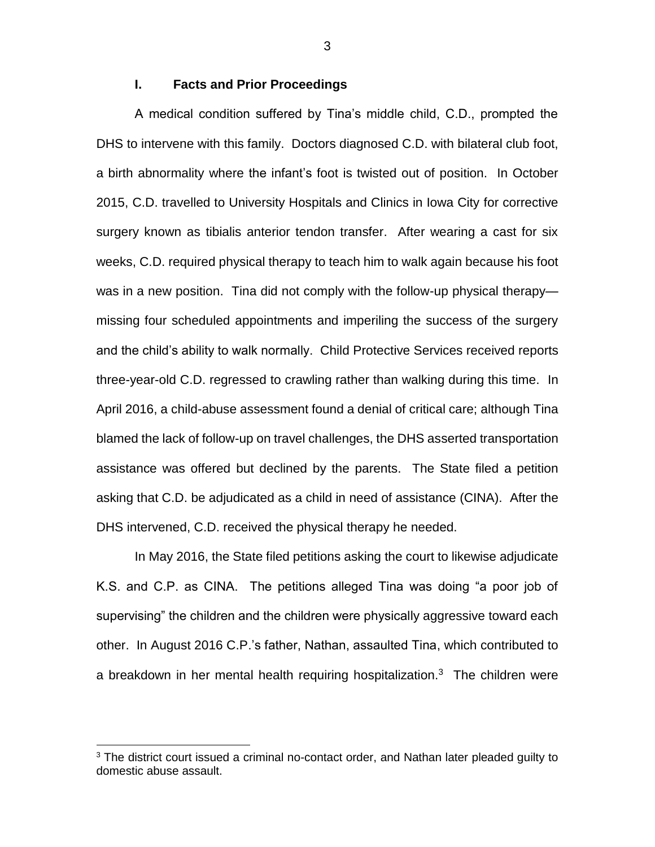### **I. Facts and Prior Proceedings**

A medical condition suffered by Tina's middle child, C.D., prompted the DHS to intervene with this family. Doctors diagnosed C.D. with bilateral club foot, a birth abnormality where the infant's foot is twisted out of position. In October 2015, C.D. travelled to University Hospitals and Clinics in Iowa City for corrective surgery known as tibialis anterior tendon transfer. After wearing a cast for six weeks, C.D. required physical therapy to teach him to walk again because his foot was in a new position. Tina did not comply with the follow-up physical therapy missing four scheduled appointments and imperiling the success of the surgery and the child's ability to walk normally. Child Protective Services received reports three-year-old C.D. regressed to crawling rather than walking during this time. In April 2016, a child-abuse assessment found a denial of critical care; although Tina blamed the lack of follow-up on travel challenges, the DHS asserted transportation assistance was offered but declined by the parents. The State filed a petition asking that C.D. be adjudicated as a child in need of assistance (CINA). After the DHS intervened, C.D. received the physical therapy he needed.

In May 2016, the State filed petitions asking the court to likewise adjudicate K.S. and C.P. as CINA. The petitions alleged Tina was doing "a poor job of supervising" the children and the children were physically aggressive toward each other. In August 2016 C.P.'s father, Nathan, assaulted Tina, which contributed to a breakdown in her mental health requiring hospitalization.<sup>3</sup> The children were

 $3$  The district court issued a criminal no-contact order, and Nathan later pleaded guilty to domestic abuse assault.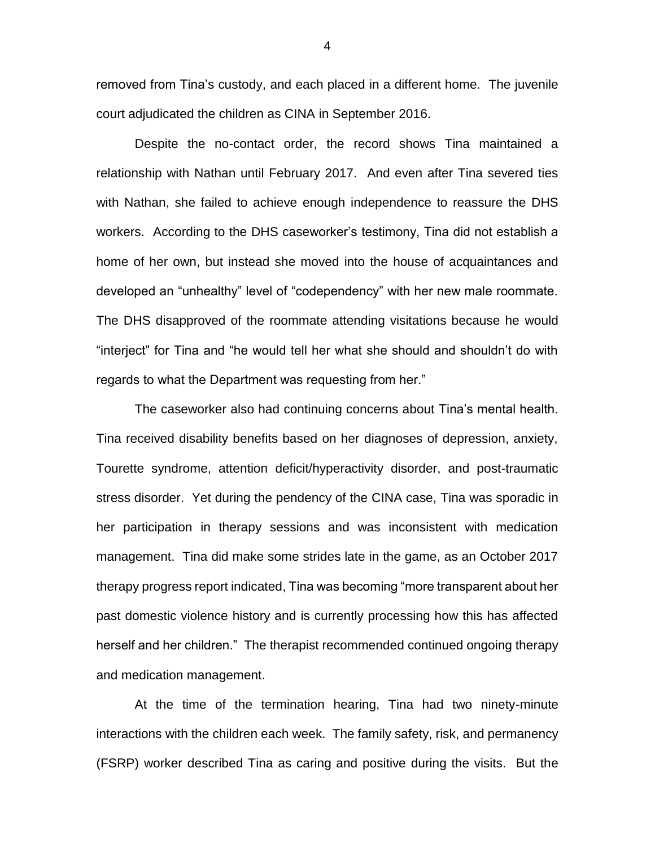removed from Tina's custody, and each placed in a different home. The juvenile court adjudicated the children as CINA in September 2016.

Despite the no-contact order, the record shows Tina maintained a relationship with Nathan until February 2017. And even after Tina severed ties with Nathan, she failed to achieve enough independence to reassure the DHS workers. According to the DHS caseworker's testimony, Tina did not establish a home of her own, but instead she moved into the house of acquaintances and developed an "unhealthy" level of "codependency" with her new male roommate. The DHS disapproved of the roommate attending visitations because he would "interject" for Tina and "he would tell her what she should and shouldn't do with regards to what the Department was requesting from her."

The caseworker also had continuing concerns about Tina's mental health. Tina received disability benefits based on her diagnoses of depression, anxiety, Tourette syndrome, attention deficit/hyperactivity disorder, and post-traumatic stress disorder. Yet during the pendency of the CINA case, Tina was sporadic in her participation in therapy sessions and was inconsistent with medication management. Tina did make some strides late in the game, as an October 2017 therapy progress report indicated, Tina was becoming "more transparent about her past domestic violence history and is currently processing how this has affected herself and her children." The therapist recommended continued ongoing therapy and medication management.

At the time of the termination hearing, Tina had two ninety-minute interactions with the children each week. The family safety, risk, and permanency (FSRP) worker described Tina as caring and positive during the visits. But the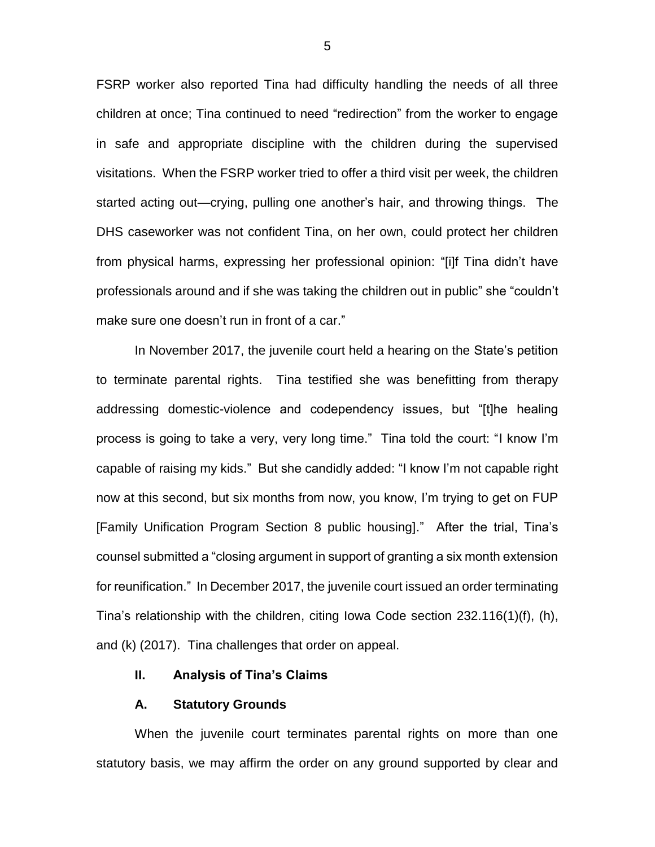FSRP worker also reported Tina had difficulty handling the needs of all three children at once; Tina continued to need "redirection" from the worker to engage in safe and appropriate discipline with the children during the supervised visitations. When the FSRP worker tried to offer a third visit per week, the children started acting out—crying, pulling one another's hair, and throwing things. The DHS caseworker was not confident Tina, on her own, could protect her children from physical harms, expressing her professional opinion: "[i]f Tina didn't have professionals around and if she was taking the children out in public" she "couldn't make sure one doesn't run in front of a car."

In November 2017, the juvenile court held a hearing on the State's petition to terminate parental rights. Tina testified she was benefitting from therapy addressing domestic-violence and codependency issues, but "[t]he healing process is going to take a very, very long time." Tina told the court: "I know I'm capable of raising my kids." But she candidly added: "I know I'm not capable right now at this second, but six months from now, you know, I'm trying to get on FUP [Family Unification Program Section 8 public housing]." After the trial, Tina's counsel submitted a "closing argument in support of granting a six month extension for reunification." In December 2017, the juvenile court issued an order terminating Tina's relationship with the children, citing Iowa Code section 232.116(1)(f), (h), and (k) (2017). Tina challenges that order on appeal.

### **II. Analysis of Tina's Claims**

#### **A. Statutory Grounds**

When the juvenile court terminates parental rights on more than one statutory basis, we may affirm the order on any ground supported by clear and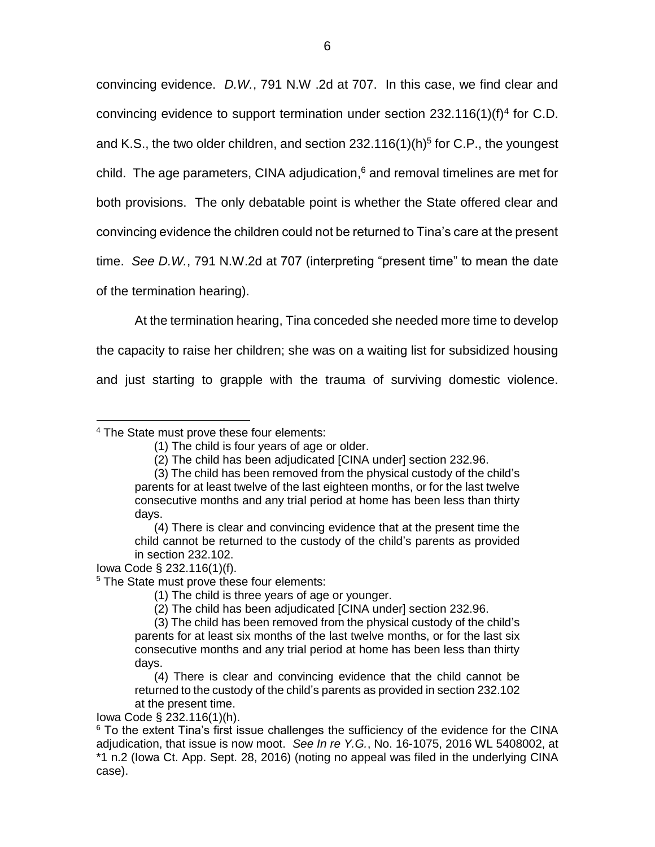convincing evidence. *D.W.*, 791 N.W .2d at 707. In this case, we find clear and convincing evidence to support termination under section  $232.116(1)(f)^4$  for C.D. and K.S., the two older children, and section 232.116(1)(h)<sup>5</sup> for C.P., the youngest child. The age parameters, CINA adjudication, <sup>6</sup> and removal timelines are met for both provisions. The only debatable point is whether the State offered clear and convincing evidence the children could not be returned to Tina's care at the present time. *See D.W.*, 791 N.W.2d at 707 (interpreting "present time" to mean the date of the termination hearing).

At the termination hearing, Tina conceded she needed more time to develop the capacity to raise her children; she was on a waiting list for subsidized housing and just starting to grapple with the trauma of surviving domestic violence.

<sup>4</sup> The State must prove these four elements:

Iowa Code § 232.116(1)(f).

 $\overline{a}$ 

Iowa Code § 232.116(1)(h).

<sup>(1)</sup> The child is four years of age or older.

<sup>(2)</sup> The child has been adjudicated [CINA under] section 232.96.

<sup>(3)</sup> The child has been removed from the physical custody of the child's parents for at least twelve of the last eighteen months, or for the last twelve consecutive months and any trial period at home has been less than thirty days.

<sup>(4)</sup> There is clear and convincing evidence that at the present time the child cannot be returned to the custody of the child's parents as provided in section 232.102.

<sup>&</sup>lt;sup>5</sup> The State must prove these four elements:

<sup>(1)</sup> The child is three years of age or younger.

<sup>(2)</sup> The child has been adjudicated [CINA under] section 232.96.

<sup>(3)</sup> The child has been removed from the physical custody of the child's parents for at least six months of the last twelve months, or for the last six consecutive months and any trial period at home has been less than thirty days.

<sup>(4)</sup> There is clear and convincing evidence that the child cannot be returned to the custody of the child's parents as provided in section 232.102 at the present time.

 $6$  To the extent Tina's first issue challenges the sufficiency of the evidence for the CINA adjudication, that issue is now moot. *See In re Y.G.*, No. 16-1075, 2016 WL 5408002, at \*1 n.2 (Iowa Ct. App. Sept. 28, 2016) (noting no appeal was filed in the underlying CINA case).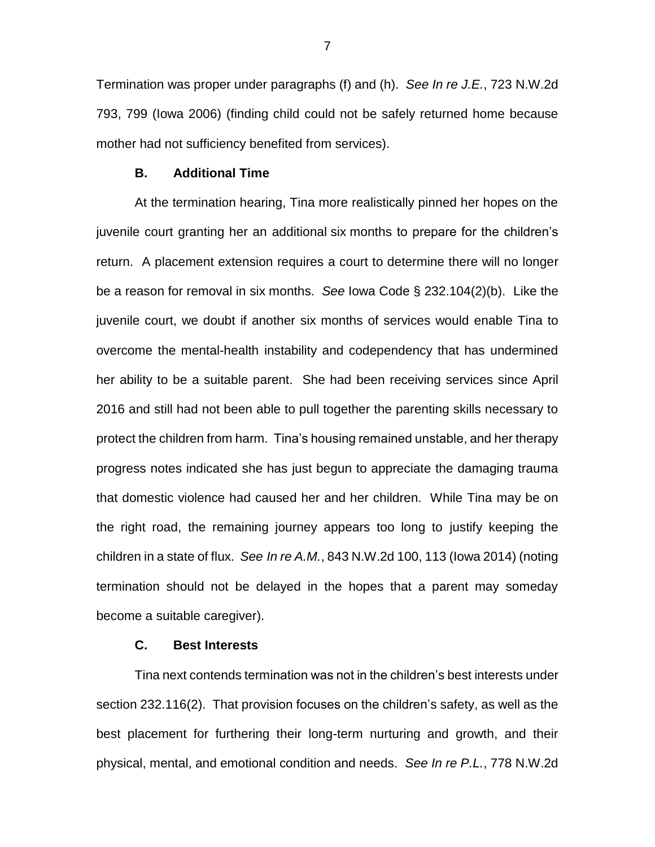Termination was proper under paragraphs (f) and (h). *See In re J.E.*, 723 N.W.2d 793, 799 (Iowa 2006) (finding child could not be safely returned home because mother had not sufficiency benefited from services).

#### **B. Additional Time**

At the termination hearing, Tina more realistically pinned her hopes on the juvenile court granting her an additional six months to prepare for the children's return. A placement extension requires a court to determine there will no longer be a reason for removal in six months. *See* Iowa Code § 232.104(2)(b). Like the juvenile court, we doubt if another six months of services would enable Tina to overcome the mental-health instability and codependency that has undermined her ability to be a suitable parent. She had been receiving services since April 2016 and still had not been able to pull together the parenting skills necessary to protect the children from harm. Tina's housing remained unstable, and her therapy progress notes indicated she has just begun to appreciate the damaging trauma that domestic violence had caused her and her children. While Tina may be on the right road, the remaining journey appears too long to justify keeping the children in a state of flux. *See In re A.M.*, 843 N.W.2d 100, 113 (Iowa 2014) (noting termination should not be delayed in the hopes that a parent may someday become a suitable caregiver).

# **C. Best Interests**

Tina next contends termination was not in the children's best interests under section 232.116(2). That provision focuses on the children's safety, as well as the best placement for furthering their long-term nurturing and growth, and their physical, mental, and emotional condition and needs. *See In re P.L.*, 778 N.W.2d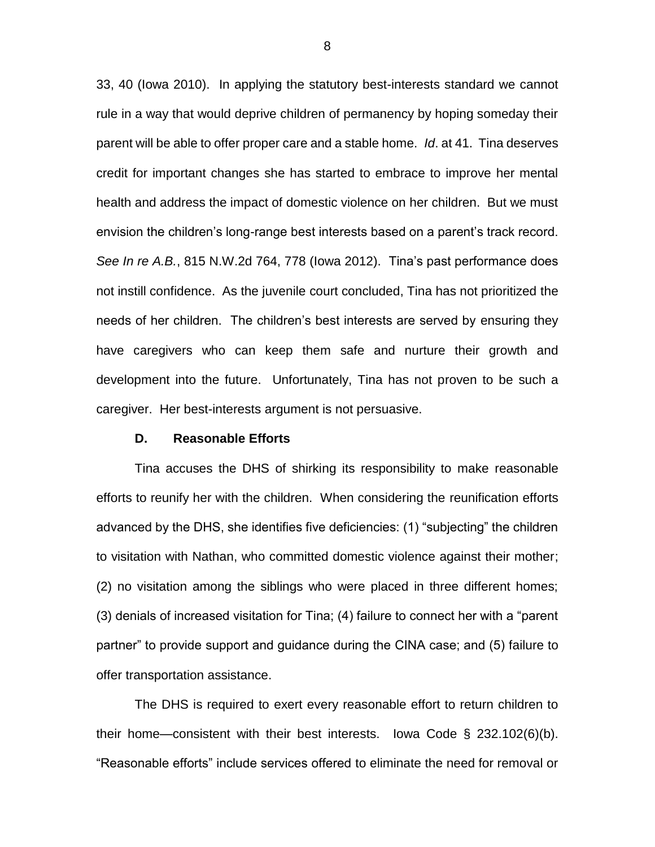33, 40 (Iowa 2010). In applying the statutory best-interests standard we cannot rule in a way that would deprive children of permanency by hoping someday their parent will be able to offer proper care and a stable home. *Id*. at 41. Tina deserves credit for important changes she has started to embrace to improve her mental health and address the impact of domestic violence on her children. But we must envision the children's long-range best interests based on a parent's track record. *See In re A.B.*, 815 N.W.2d 764, 778 (Iowa 2012). Tina's past performance does not instill confidence. As the juvenile court concluded, Tina has not prioritized the needs of her children. The children's best interests are served by ensuring they have caregivers who can keep them safe and nurture their growth and development into the future. Unfortunately, Tina has not proven to be such a caregiver. Her best-interests argument is not persuasive.

### **D. Reasonable Efforts**

Tina accuses the DHS of shirking its responsibility to make reasonable efforts to reunify her with the children. When considering the reunification efforts advanced by the DHS, she identifies five deficiencies: (1) "subjecting" the children to visitation with Nathan, who committed domestic violence against their mother; (2) no visitation among the siblings who were placed in three different homes; (3) denials of increased visitation for Tina; (4) failure to connect her with a "parent partner" to provide support and guidance during the CINA case; and (5) failure to offer transportation assistance.

The DHS is required to exert every reasonable effort to return children to their home—consistent with their best interests. Iowa Code § 232.102(6)(b). "Reasonable efforts" include services offered to eliminate the need for removal or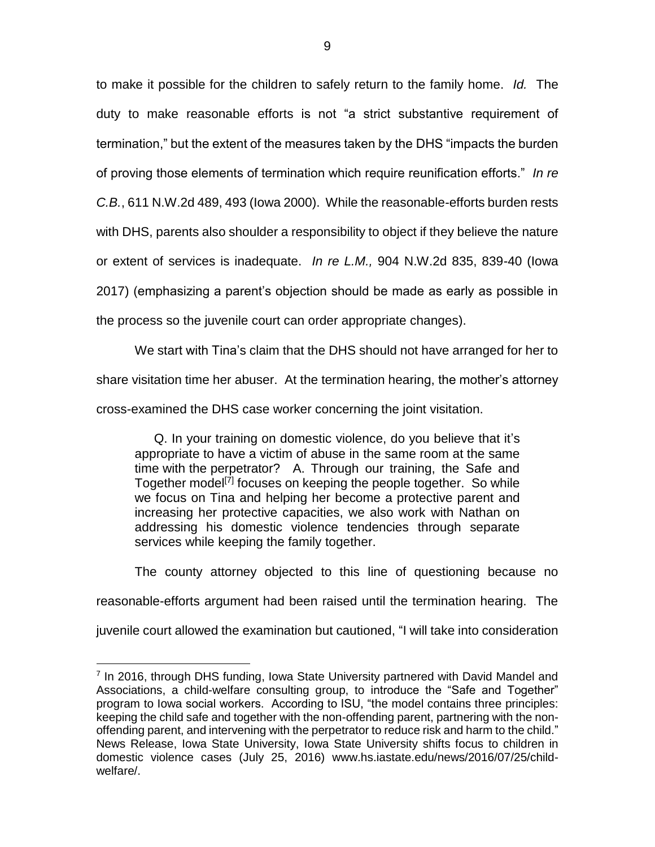to make it possible for the children to safely return to the family home. *Id.* The duty to make reasonable efforts is not "a strict substantive requirement of termination," but the extent of the measures taken by the DHS "impacts the burden of proving those elements of termination which require reunification efforts." *In re C.B.*, 611 N.W.2d 489, 493 (Iowa 2000). While the reasonable-efforts burden rests with DHS, parents also shoulder a responsibility to object if they believe the nature or extent of services is inadequate. *In re L.M.,* 904 N.W.2d 835, 839-40 (Iowa 2017) (emphasizing a parent's objection should be made as early as possible in the process so the juvenile court can order appropriate changes).

We start with Tina's claim that the DHS should not have arranged for her to share visitation time her abuser. At the termination hearing, the mother's attorney cross-examined the DHS case worker concerning the joint visitation.

Q. In your training on domestic violence, do you believe that it's appropriate to have a victim of abuse in the same room at the same time with the perpetrator? A. Through our training, the Safe and Together model<sup>[7]</sup> focuses on keeping the people together. So while we focus on Tina and helping her become a protective parent and increasing her protective capacities, we also work with Nathan on addressing his domestic violence tendencies through separate services while keeping the family together.

The county attorney objected to this line of questioning because no reasonable-efforts argument had been raised until the termination hearing. The juvenile court allowed the examination but cautioned, "I will take into consideration

<sup>&</sup>lt;sup>7</sup> In 2016, through DHS funding, Iowa State University partnered with David Mandel and Associations, a child-welfare consulting group, to introduce the "Safe and Together" program to Iowa social workers. According to ISU, "the model contains three principles: keeping the child safe and together with the non-offending parent, partnering with the nonoffending parent, and intervening with the perpetrator to reduce risk and harm to the child." News Release, Iowa State University, Iowa State University shifts focus to children in domestic violence cases (July 25, 2016) www.hs.iastate.edu/news/2016/07/25/childwelfare/.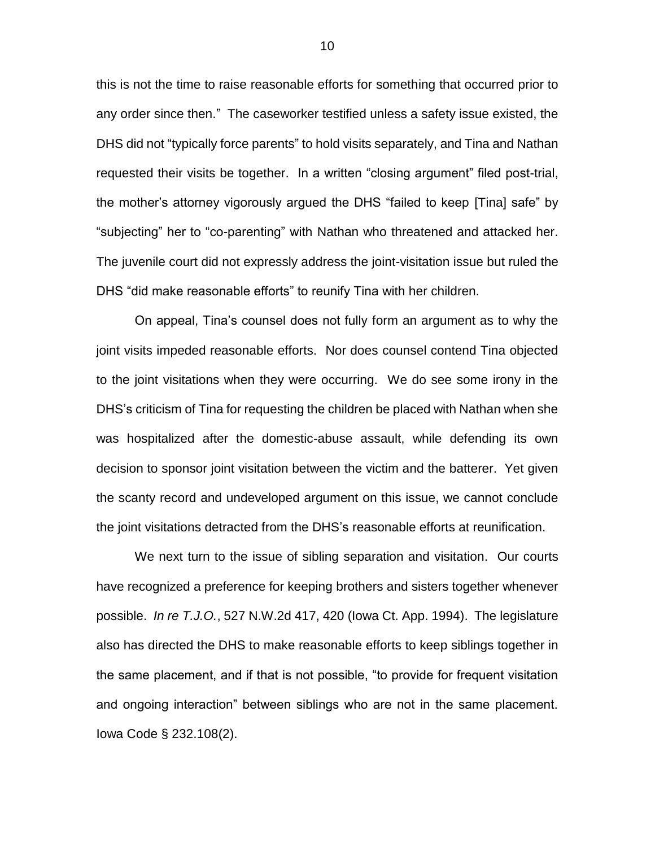this is not the time to raise reasonable efforts for something that occurred prior to any order since then." The caseworker testified unless a safety issue existed, the DHS did not "typically force parents" to hold visits separately, and Tina and Nathan requested their visits be together. In a written "closing argument" filed post-trial, the mother's attorney vigorously argued the DHS "failed to keep [Tina] safe" by "subjecting" her to "co-parenting" with Nathan who threatened and attacked her. The juvenile court did not expressly address the joint-visitation issue but ruled the DHS "did make reasonable efforts" to reunify Tina with her children.

On appeal, Tina's counsel does not fully form an argument as to why the joint visits impeded reasonable efforts. Nor does counsel contend Tina objected to the joint visitations when they were occurring. We do see some irony in the DHS's criticism of Tina for requesting the children be placed with Nathan when she was hospitalized after the domestic-abuse assault, while defending its own decision to sponsor joint visitation between the victim and the batterer. Yet given the scanty record and undeveloped argument on this issue, we cannot conclude the joint visitations detracted from the DHS's reasonable efforts at reunification.

We next turn to the issue of sibling separation and visitation. Our courts have recognized a preference for keeping brothers and sisters together whenever possible. *In re T.J.O.*, 527 N.W.2d 417, 420 (Iowa Ct. App. 1994). The legislature also has directed the DHS to make reasonable efforts to keep siblings together in the same placement, and if that is not possible, "to provide for frequent visitation and ongoing interaction" between siblings who are not in the same placement. Iowa Code § 232.108(2).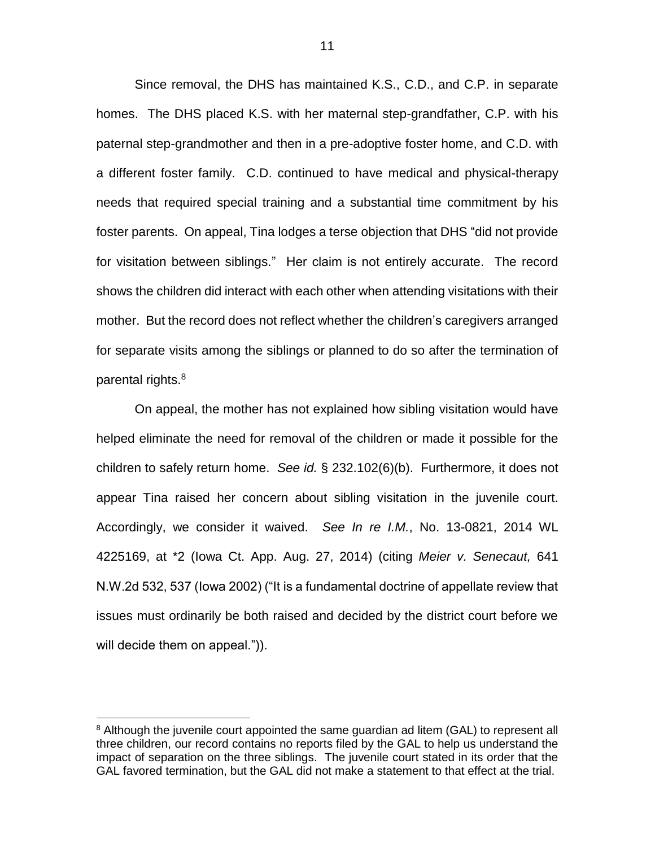Since removal, the DHS has maintained K.S., C.D., and C.P. in separate homes. The DHS placed K.S. with her maternal step-grandfather, C.P. with his paternal step-grandmother and then in a pre-adoptive foster home, and C.D. with a different foster family. C.D. continued to have medical and physical-therapy needs that required special training and a substantial time commitment by his foster parents. On appeal, Tina lodges a terse objection that DHS "did not provide for visitation between siblings." Her claim is not entirely accurate. The record shows the children did interact with each other when attending visitations with their mother. But the record does not reflect whether the children's caregivers arranged for separate visits among the siblings or planned to do so after the termination of parental rights.<sup>8</sup>

On appeal, the mother has not explained how sibling visitation would have helped eliminate the need for removal of the children or made it possible for the children to safely return home. *See id.* § 232.102(6)(b). Furthermore, it does not appear Tina raised her concern about sibling visitation in the juvenile court. Accordingly, we consider it waived. *See In re I.M.*, No. 13-0821, 2014 WL 4225169, at \*2 (Iowa Ct. App. Aug. 27, 2014) (citing *Meier v. Senecaut,* 641 N.W.2d 532, 537 (Iowa 2002) ("It is a fundamental doctrine of appellate review that issues must ordinarily be both raised and decided by the district court before we will decide them on appeal.")).

<sup>&</sup>lt;sup>8</sup> Although the juvenile court appointed the same guardian ad litem (GAL) to represent all three children, our record contains no reports filed by the GAL to help us understand the impact of separation on the three siblings. The juvenile court stated in its order that the GAL favored termination, but the GAL did not make a statement to that effect at the trial.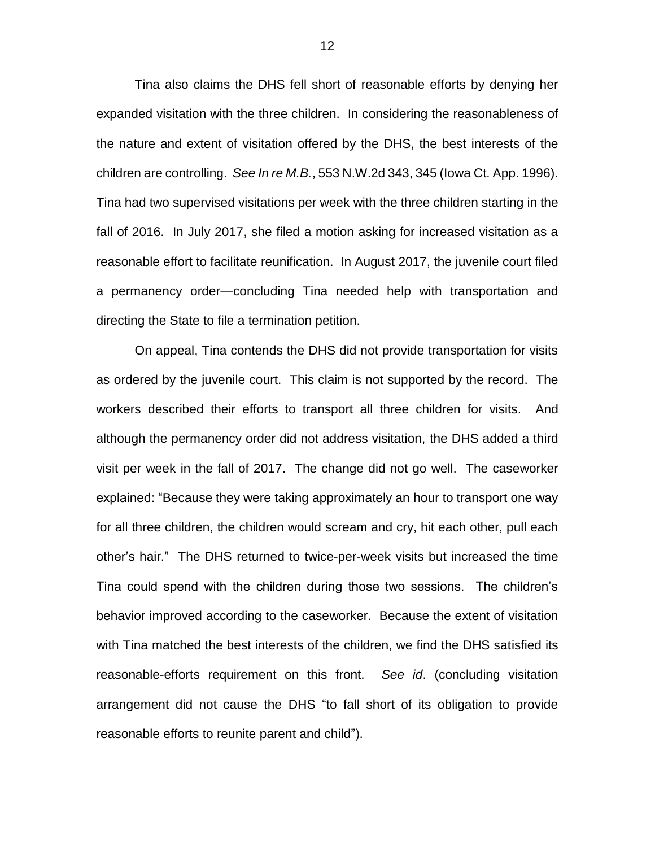Tina also claims the DHS fell short of reasonable efforts by denying her expanded visitation with the three children. In considering the reasonableness of the nature and extent of visitation offered by the DHS, the best interests of the children are controlling. *See In re M.B.*, 553 N.W.2d 343, 345 (Iowa Ct. App. 1996). Tina had two supervised visitations per week with the three children starting in the fall of 2016. In July 2017, she filed a motion asking for increased visitation as a reasonable effort to facilitate reunification. In August 2017, the juvenile court filed a permanency order—concluding Tina needed help with transportation and directing the State to file a termination petition.

On appeal, Tina contends the DHS did not provide transportation for visits as ordered by the juvenile court. This claim is not supported by the record. The workers described their efforts to transport all three children for visits. And although the permanency order did not address visitation, the DHS added a third visit per week in the fall of 2017. The change did not go well. The caseworker explained: "Because they were taking approximately an hour to transport one way for all three children, the children would scream and cry, hit each other, pull each other's hair." The DHS returned to twice-per-week visits but increased the time Tina could spend with the children during those two sessions. The children's behavior improved according to the caseworker. Because the extent of visitation with Tina matched the best interests of the children, we find the DHS satisfied its reasonable-efforts requirement on this front. *See id*. (concluding visitation arrangement did not cause the DHS "to fall short of its obligation to provide reasonable efforts to reunite parent and child").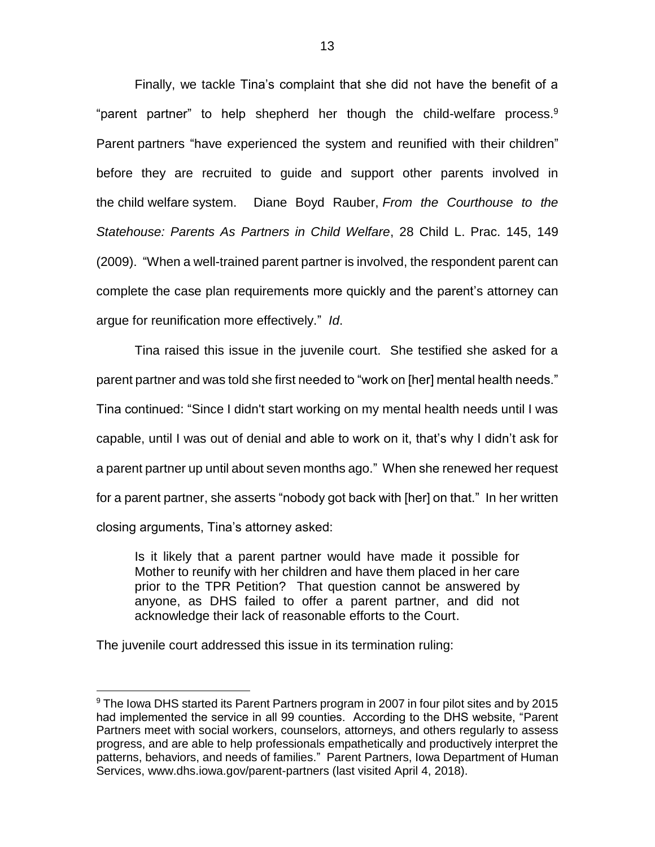Finally, we tackle Tina's complaint that she did not have the benefit of a "parent partner" to help shepherd her though the child-welfare process.<sup>9</sup> Parent partners "have experienced the system and reunified with their children" before they are recruited to guide and support other parents involved in the child welfare system. Diane Boyd Rauber, *From the Courthouse to the Statehouse: Parents As Partners in Child Welfare*, 28 Child L. Prac. 145, 149 (2009). "When a well-trained parent partner is involved, the respondent parent can complete the case plan requirements more quickly and the parent's attorney can argue for reunification more effectively." *Id*.

Tina raised this issue in the juvenile court. She testified she asked for a parent partner and was told she first needed to "work on [her] mental health needs." Tina continued: "Since I didn't start working on my mental health needs until I was capable, until I was out of denial and able to work on it, that's why I didn't ask for a parent partner up until about seven months ago." When she renewed her request for a parent partner, she asserts "nobody got back with [her] on that." In her written closing arguments, Tina's attorney asked:

Is it likely that a parent partner would have made it possible for Mother to reunify with her children and have them placed in her care prior to the TPR Petition? That question cannot be answered by anyone, as DHS failed to offer a parent partner, and did not acknowledge their lack of reasonable efforts to the Court.

The juvenile court addressed this issue in its termination ruling:

<sup>9</sup> The Iowa DHS started its Parent Partners program in 2007 in four pilot sites and by 2015 had implemented the service in all 99 counties. According to the DHS website, "Parent Partners meet with social workers, counselors, attorneys, and others regularly to assess progress, and are able to help professionals empathetically and productively interpret the patterns, behaviors, and needs of families." Parent Partners, Iowa Department of Human Services, www.dhs.iowa.gov/parent-partners (last visited April 4, 2018).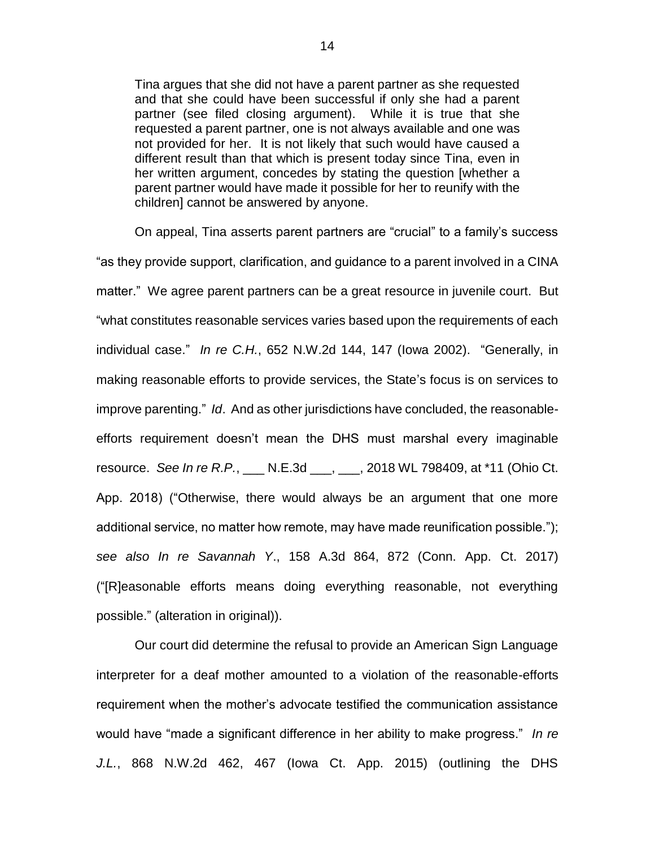Tina argues that she did not have a parent partner as she requested and that she could have been successful if only she had a parent partner (see filed closing argument). While it is true that she requested a parent partner, one is not always available and one was not provided for her. It is not likely that such would have caused a different result than that which is present today since Tina, even in her written argument, concedes by stating the question [whether a parent partner would have made it possible for her to reunify with the children] cannot be answered by anyone.

On appeal, Tina asserts parent partners are "crucial" to a family's success "as they provide support, clarification, and guidance to a parent involved in a CINA matter." We agree parent partners can be a great resource in juvenile court. But "what constitutes reasonable services varies based upon the requirements of each individual case." *In re C.H.*, 652 N.W.2d 144, 147 (Iowa 2002). "Generally, in making reasonable efforts to provide services, the State's focus is on services to improve parenting." *Id*. And as other jurisdictions have concluded, the reasonableefforts requirement doesn't mean the DHS must marshal every imaginable resource. *See In re R.P.*, \_\_\_ N.E.3d \_\_\_, \_\_\_, 2018 WL 798409, at \*11 (Ohio Ct. App. 2018) ("Otherwise, there would always be an argument that one more additional service, no matter how remote, may have made reunification possible."); *see also In re Savannah Y*., 158 A.3d 864, 872 (Conn. App. Ct. 2017) ("[R]easonable efforts means doing everything reasonable, not everything possible." (alteration in original)).

Our court did determine the refusal to provide an American Sign Language interpreter for a deaf mother amounted to a violation of the reasonable-efforts requirement when the mother's advocate testified the communication assistance would have "made a significant difference in her ability to make progress." *In re J.L.*, 868 N.W.2d 462, 467 (Iowa Ct. App. 2015) (outlining the DHS